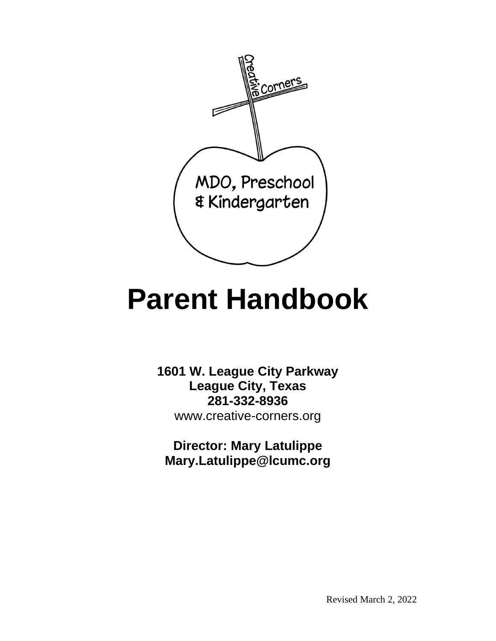

# **Parent Handbook**

**1601 W. League City Parkway League City, Texas 281-332-8936** [www.creative-corners.org](http://www.creative-corners.org/)

**Director: Mary Latulippe Mary.Latulippe@lcumc.org**

Revised March 2, 2022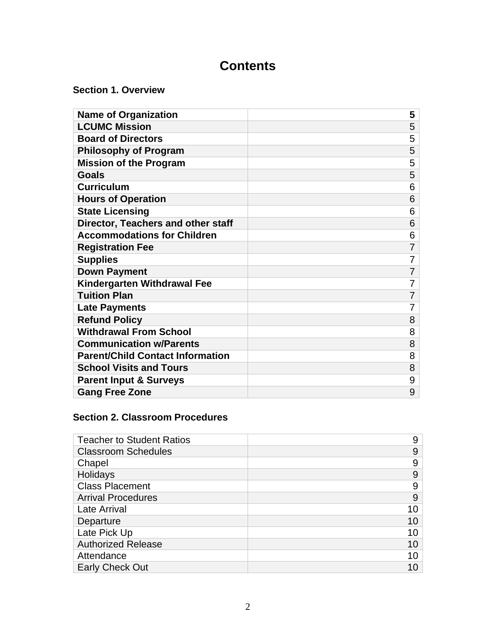# **Contents**

**Section 1. Overview**

| <b>Name of Organization</b>             | 5              |
|-----------------------------------------|----------------|
| <b>LCUMC Mission</b>                    | 5              |
| <b>Board of Directors</b>               | 5              |
| <b>Philosophy of Program</b>            | 5              |
| <b>Mission of the Program</b>           | 5              |
| <b>Goals</b>                            | 5              |
| <b>Curriculum</b>                       | 6              |
| <b>Hours of Operation</b>               | 6              |
| <b>State Licensing</b>                  | 6              |
| Director, Teachers and other staff      | 6              |
| <b>Accommodations for Children</b>      | 6              |
| <b>Registration Fee</b>                 | 7              |
| <b>Supplies</b>                         | 7              |
| <b>Down Payment</b>                     | $\overline{7}$ |
| <b>Kindergarten Withdrawal Fee</b>      | 7              |
| <b>Tuition Plan</b>                     | 7              |
| <b>Late Payments</b>                    | 7              |
| <b>Refund Policy</b>                    | 8              |
| <b>Withdrawal From School</b>           | 8              |
| <b>Communication w/Parents</b>          | 8              |
| <b>Parent/Child Contact Information</b> | 8              |
| <b>School Visits and Tours</b>          | 8              |
| <b>Parent Input &amp; Surveys</b>       | 9              |
| <b>Gang Free Zone</b>                   | 9              |

## **Section 2. Classroom Procedures**

| <b>Teacher to Student Ratios</b> | 9  |
|----------------------------------|----|
| <b>Classroom Schedules</b>       | 9  |
| Chapel                           | 9  |
| Holidays                         | 9  |
| <b>Class Placement</b>           | 9  |
| <b>Arrival Procedures</b>        | 9  |
| <b>Late Arrival</b>              | 10 |
| Departure                        | 10 |
| Late Pick Up                     | 10 |
| <b>Authorized Release</b>        | 10 |
| Attendance                       | 10 |
| <b>Early Check Out</b>           |    |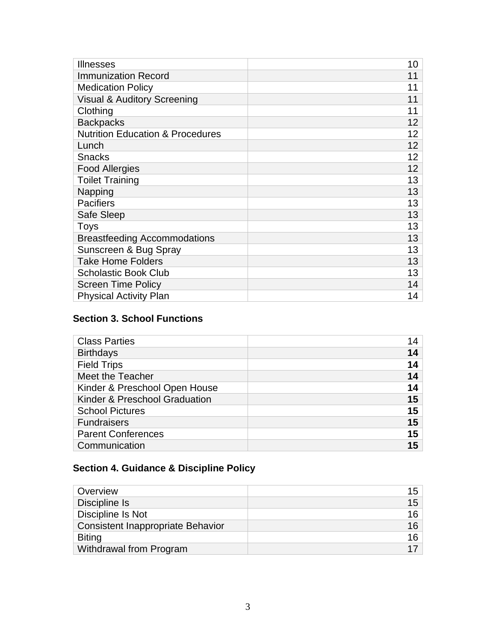| <b>Illnesses</b>                            | 10              |
|---------------------------------------------|-----------------|
| <b>Immunization Record</b>                  | 11              |
| <b>Medication Policy</b>                    | 11              |
| Visual & Auditory Screening                 | 11              |
| Clothing                                    | 11              |
| <b>Backpacks</b>                            | 12 <sub>2</sub> |
| <b>Nutrition Education &amp; Procedures</b> | 12              |
| Lunch                                       | 12              |
| Snacks                                      | 12              |
| <b>Food Allergies</b>                       | 12              |
| <b>Toilet Training</b>                      | 13              |
| Napping                                     | 13              |
| <b>Pacifiers</b>                            | 13              |
| Safe Sleep                                  | 13              |
| <b>Toys</b>                                 | 13              |
| <b>Breastfeeding Accommodations</b>         | 13              |
| Sunscreen & Bug Spray                       | 13              |
| <b>Take Home Folders</b>                    | 13              |
| <b>Scholastic Book Club</b>                 | 13              |
| <b>Screen Time Policy</b>                   | 14              |
| <b>Physical Activity Plan</b>               | 14              |

## **Section 3. School Functions**

| 14 |
|----|
| 14 |
| 14 |
| 14 |
| 14 |
| 15 |
| 15 |
| 15 |
| 15 |
| 15 |
|    |

# **Section 4. Guidance & Discipline Policy**

| Overview                                 | 15 |
|------------------------------------------|----|
| Discipline Is                            | 15 |
| Discipline Is Not                        | 16 |
| <b>Consistent Inappropriate Behavior</b> | 16 |
| <b>Biting</b>                            | 16 |
| Withdrawal from Program                  | 17 |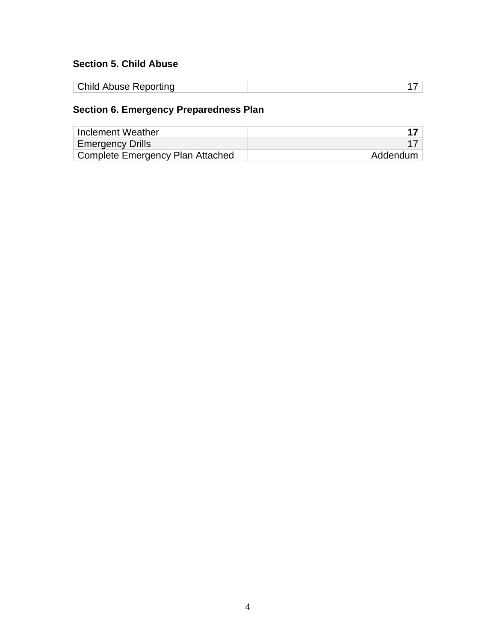## **Section 5. Child Abuse**

| <b>Child Abuse Reporting</b> |  |
|------------------------------|--|
|------------------------------|--|

# **Section 6. Emergency Preparedness Plan**

| Inclement Weather                |          |
|----------------------------------|----------|
| <b>Emergency Drills</b>          |          |
| Complete Emergency Plan Attached | Addendum |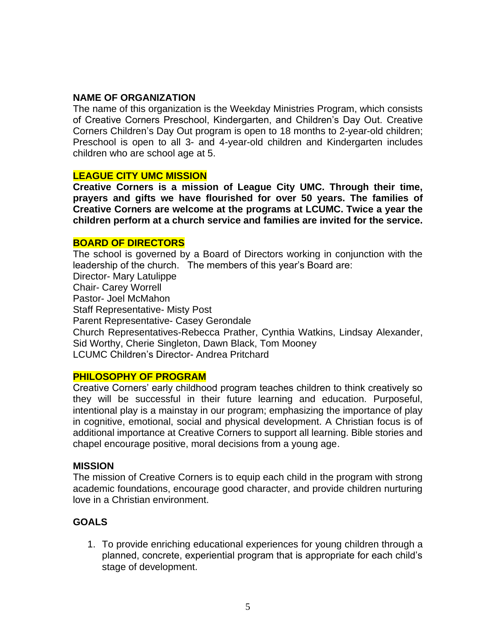#### **NAME OF ORGANIZATION**

The name of this organization is the Weekday Ministries Program, which consists of Creative Corners Preschool, Kindergarten, and Children's Day Out. Creative Corners Children's Day Out program is open to 18 months to 2-year-old children; Preschool is open to all 3- and 4-year-old children and Kindergarten includes children who are school age at 5.

#### **LEAGUE CITY UMC MISSION**

**Creative Corners is a mission of League City UMC. Through their time, prayers and gifts we have flourished for over 50 years. The families of Creative Corners are welcome at the programs at LCUMC. Twice a year the children perform at a church service and families are invited for the service.** 

#### **BOARD OF DIRECTORS**

The school is governed by a Board of Directors working in conjunction with the leadership of the church. The members of this year's Board are: Director- Mary Latulippe Chair- Carey Worrell Pastor- Joel McMahon Staff Representative- Misty Post Parent Representative- Casey Gerondale Church Representatives-Rebecca Prather, Cynthia Watkins, Lindsay Alexander, Sid Worthy, Cherie Singleton, Dawn Black, Tom Mooney LCUMC Children's Director- Andrea Pritchard

#### **PHILOSOPHY OF PROGRAM**

Creative Corners' early childhood program teaches children to think creatively so they will be successful in their future learning and education. Purposeful, intentional play is a mainstay in our program; emphasizing the importance of play in cognitive, emotional, social and physical development. A Christian focus is of additional importance at Creative Corners to support all learning. Bible stories and chapel encourage positive, moral decisions from a young age.

#### **MISSION**

The mission of Creative Corners is to equip each child in the program with strong academic foundations, encourage good character, and provide children nurturing love in a Christian environment.

#### **GOALS**

1. To provide enriching educational experiences for young children through a planned, concrete, experiential program that is appropriate for each child's stage of development.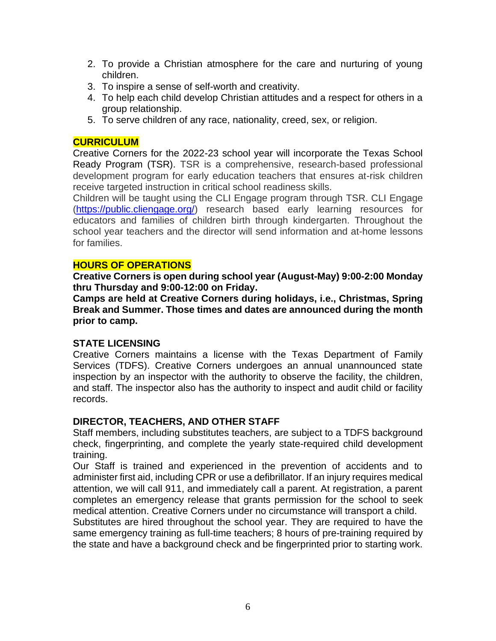- 2. To provide a Christian atmosphere for the care and nurturing of young children.
- 3. To inspire a sense of self-worth and creativity.
- 4. To help each child develop Christian attitudes and a respect for others in a group relationship.
- 5. To serve children of any race, nationality, creed, sex, or religion.

#### **CURRICULUM**

Creative Corners for the 2022-23 school year will incorporate the Texas School Ready Program (TSR). TSR is a comprehensive, research-based professional development program for early education teachers that ensures at-risk children receive targeted instruction in critical school readiness skills.

Children will be taught using the CLI Engage program through TSR. CLI Engage [\(https://public.cliengage.org/\)](https://public.cliengage.org/) research based early learning resources for educators and families of children birth through kindergarten. Throughout the school year teachers and the director will send information and at-home lessons for families.

#### **HOURS OF OPERATIONS**

**Creative Corners is open during school year (August-May) 9:00-2:00 Monday thru Thursday and 9:00-12:00 on Friday.** 

**Camps are held at Creative Corners during holidays, i.e., Christmas, Spring Break and Summer. Those times and dates are announced during the month prior to camp.**

#### **STATE LICENSING**

Creative Corners maintains a license with the Texas Department of Family Services (TDFS). Creative Corners undergoes an annual unannounced state inspection by an inspector with the authority to observe the facility, the children, and staff. The inspector also has the authority to inspect and audit child or facility records.

#### **DIRECTOR, TEACHERS, AND OTHER STAFF**

Staff members, including substitutes teachers, are subject to a TDFS background check, fingerprinting, and complete the yearly state-required child development training.

Our Staff is trained and experienced in the prevention of accidents and to administer first aid, including CPR or use a defibrillator. If an injury requires medical attention, we will call 911, and immediately call a parent. At registration, a parent completes an emergency release that grants permission for the school to seek medical attention. Creative Corners under no circumstance will transport a child.

Substitutes are hired throughout the school year. They are required to have the same emergency training as full-time teachers; 8 hours of pre-training required by the state and have a background check and be fingerprinted prior to starting work.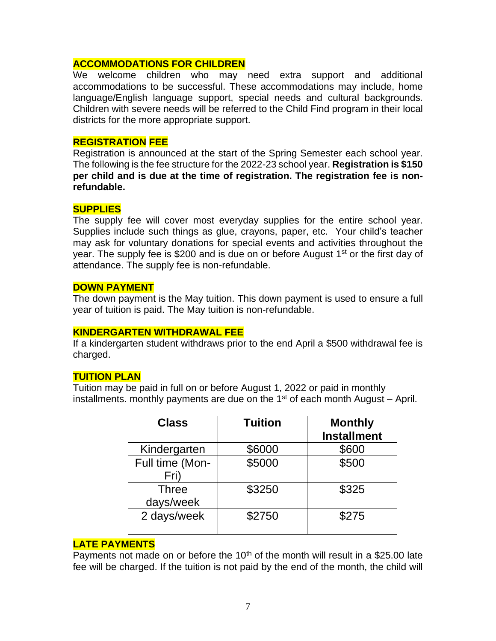#### **ACCOMMODATIONS FOR CHILDREN**

We welcome children who may need extra support and additional accommodations to be successful. These accommodations may include, home language/English language support, special needs and cultural backgrounds. Children with severe needs will be referred to the Child Find program in their local districts for the more appropriate support.

#### **REGISTRATION FEE**

Registration is announced at the start of the Spring Semester each school year. The following is the fee structure for the 2022-23 school year. **Registration is \$150 per child and is due at the time of registration. The registration fee is nonrefundable.**

#### **SUPPLIES**

The supply fee will cover most everyday supplies for the entire school year. Supplies include such things as glue, crayons, paper, etc. Your child's teacher may ask for voluntary donations for special events and activities throughout the year. The supply fee is \$200 and is due on or before August 1<sup>st</sup> or the first day of attendance. The supply fee is non-refundable.

#### **DOWN PAYMENT**

The down payment is the May tuition. This down payment is used to ensure a full year of tuition is paid. The May tuition is non-refundable.

#### **KINDERGARTEN WITHDRAWAL FEE**

If a kindergarten student withdraws prior to the end April a \$500 withdrawal fee is charged.

#### **TUITION PLAN**

Tuition may be paid in full on or before August 1, 2022 or paid in monthly installments. monthly payments are due on the  $1<sup>st</sup>$  of each month August – April.

| <b>Class</b>            | <b>Tuition</b> | <b>Monthly</b><br><b>Installment</b> |
|-------------------------|----------------|--------------------------------------|
| Kindergarten            | \$6000         | \$600                                |
| Full time (Mon-<br>Fri) | \$5000         | \$500                                |
| Three<br>days/week      | \$3250         | \$325                                |
| 2 days/week             | \$2750         | \$275                                |

#### **LATE PAYMENTS**

Payments not made on or before the  $10<sup>th</sup>$  of the month will result in a \$25.00 late fee will be charged. If the tuition is not paid by the end of the month, the child will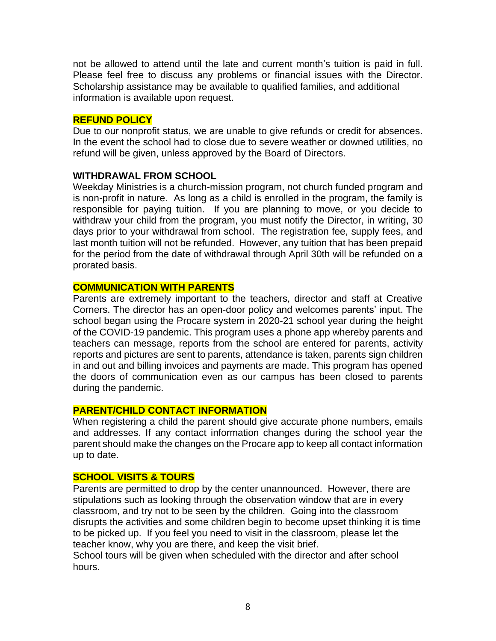not be allowed to attend until the late and current month's tuition is paid in full. Please feel free to discuss any problems or financial issues with the Director. Scholarship assistance may be available to qualified families, and additional information is available upon request.

#### **REFUND POLICY**

Due to our nonprofit status, we are unable to give refunds or credit for absences. In the event the school had to close due to severe weather or downed utilities, no refund will be given, unless approved by the Board of Directors.

#### **WITHDRAWAL FROM SCHOOL**

Weekday Ministries is a church-mission program, not church funded program and is non-profit in nature. As long as a child is enrolled in the program, the family is responsible for paying tuition. If you are planning to move, or you decide to withdraw your child from the program, you must notify the Director, in writing, 30 days prior to your withdrawal from school. The registration fee, supply fees, and last month tuition will not be refunded. However, any tuition that has been prepaid for the period from the date of withdrawal through April 30th will be refunded on a prorated basis.

#### **COMMUNICATION WITH PARENTS**

Parents are extremely important to the teachers, director and staff at Creative Corners. The director has an open-door policy and welcomes parents' input. The school began using the Procare system in 2020-21 school year during the height of the COVID-19 pandemic. This program uses a phone app whereby parents and teachers can message, reports from the school are entered for parents, activity reports and pictures are sent to parents, attendance is taken, parents sign children in and out and billing invoices and payments are made. This program has opened the doors of communication even as our campus has been closed to parents during the pandemic.

#### **PARENT/CHILD CONTACT INFORMATION**

When registering a child the parent should give accurate phone numbers, emails and addresses. If any contact information changes during the school year the parent should make the changes on the Procare app to keep all contact information up to date.

#### **SCHOOL VISITS & TOURS**

Parents are permitted to drop by the center unannounced. However, there are stipulations such as looking through the observation window that are in every classroom, and try not to be seen by the children. Going into the classroom disrupts the activities and some children begin to become upset thinking it is time to be picked up. If you feel you need to visit in the classroom, please let the teacher know, why you are there, and keep the visit brief.

School tours will be given when scheduled with the director and after school hours.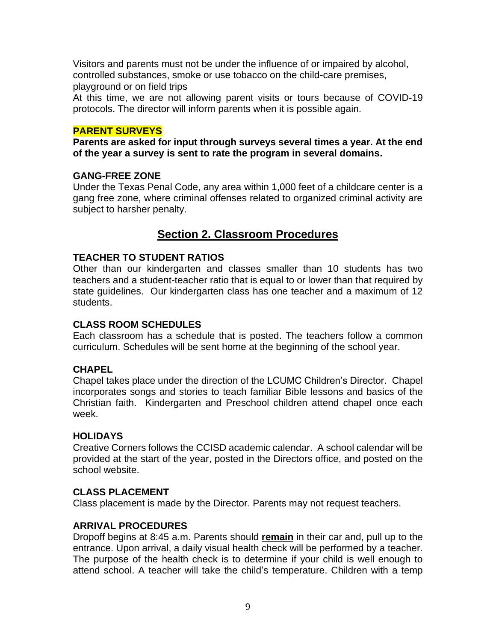Visitors and parents must not be under the influence of or impaired by alcohol, controlled substances, smoke or use tobacco on the child-care premises, playground or on field trips

At this time, we are not allowing parent visits or tours because of COVID-19 protocols. The director will inform parents when it is possible again.

#### **PARENT SURVEYS**

**Parents are asked for input through surveys several times a year. At the end of the year a survey is sent to rate the program in several domains.** 

#### **GANG-FREE ZONE**

Under the Texas Penal Code, any area within 1,000 feet of a childcare center is a gang free zone, where criminal offenses related to organized criminal activity are subject to harsher penalty.

## **Section 2. Classroom Procedures**

#### **TEACHER TO STUDENT RATIOS**

Other than our kindergarten and classes smaller than 10 students has two teachers and a student-teacher ratio that is equal to or lower than that required by state guidelines. Our kindergarten class has one teacher and a maximum of 12 students.

#### **CLASS ROOM SCHEDULES**

Each classroom has a schedule that is posted. The teachers follow a common curriculum. Schedules will be sent home at the beginning of the school year.

#### **CHAPEL**

Chapel takes place under the direction of the LCUMC Children's Director. Chapel incorporates songs and stories to teach familiar Bible lessons and basics of the Christian faith. Kindergarten and Preschool children attend chapel once each week.

#### **HOLIDAYS**

Creative Corners follows the CCISD academic calendar. A school calendar will be provided at the start of the year, posted in the Directors office, and posted on the school website.

#### **CLASS PLACEMENT**

Class placement is made by the Director. Parents may not request teachers.

#### **ARRIVAL PROCEDURES**

Dropoff begins at 8:45 a.m. Parents should **remain** in their car and, pull up to the entrance. Upon arrival, a daily visual health check will be performed by a teacher. The purpose of the health check is to determine if your child is well enough to attend school. A teacher will take the child's temperature. Children with a temp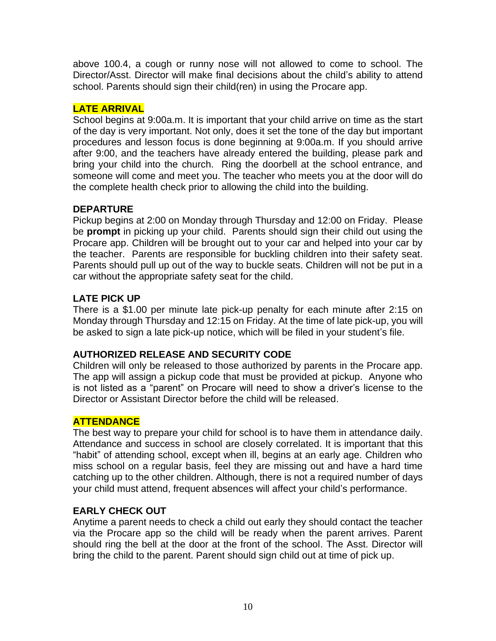above 100.4, a cough or runny nose will not allowed to come to school. The Director/Asst. Director will make final decisions about the child's ability to attend school. Parents should sign their child(ren) in using the Procare app.

## **LATE ARRIVAL**

School begins at 9:00a.m. It is important that your child arrive on time as the start of the day is very important. Not only, does it set the tone of the day but important procedures and lesson focus is done beginning at 9:00a.m. If you should arrive after 9:00, and the teachers have already entered the building, please park and bring your child into the church. Ring the doorbell at the school entrance, and someone will come and meet you. The teacher who meets you at the door will do the complete health check prior to allowing the child into the building.

## **DEPARTURE**

Pickup begins at 2:00 on Monday through Thursday and 12:00 on Friday. Please be **prompt** in picking up your child. Parents should sign their child out using the Procare app. Children will be brought out to your car and helped into your car by the teacher. Parents are responsible for buckling children into their safety seat. Parents should pull up out of the way to buckle seats. Children will not be put in a car without the appropriate safety seat for the child.

## **LATE PICK UP**

There is a \$1.00 per minute late pick-up penalty for each minute after 2:15 on Monday through Thursday and 12:15 on Friday. At the time of late pick-up, you will be asked to sign a late pick-up notice, which will be filed in your student's file.

#### **AUTHORIZED RELEASE AND SECURITY CODE**

Children will only be released to those authorized by parents in the Procare app. The app will assign a pickup code that must be provided at pickup. Anyone who is not listed as a "parent" on Procare will need to show a driver's license to the Director or Assistant Director before the child will be released.

## **ATTENDANCE**

The best way to prepare your child for school is to have them in attendance daily. Attendance and success in school are closely correlated. It is important that this "habit" of attending school, except when ill, begins at an early age. Children who miss school on a regular basis, feel they are missing out and have a hard time catching up to the other children. Although, there is not a required number of days your child must attend, frequent absences will affect your child's performance.

## **EARLY CHECK OUT**

Anytime a parent needs to check a child out early they should contact the teacher via the Procare app so the child will be ready when the parent arrives. Parent should ring the bell at the door at the front of the school. The Asst. Director will bring the child to the parent. Parent should sign child out at time of pick up.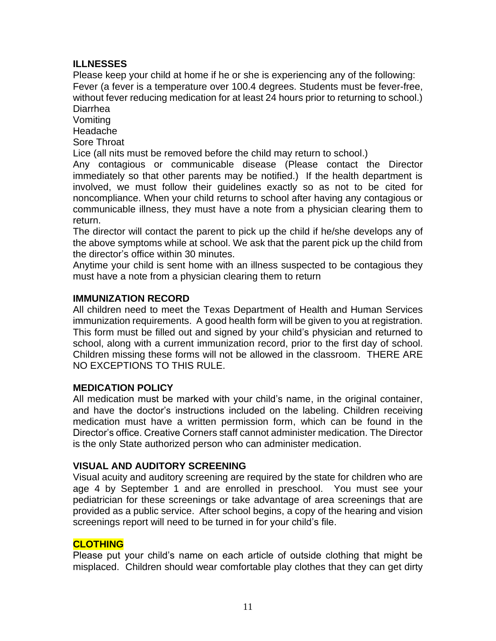#### **ILLNESSES**

Please keep your child at home if he or she is experiencing any of the following: Fever (a fever is a temperature over 100.4 degrees. Students must be fever-free, without fever reducing medication for at least 24 hours prior to returning to school.) Diarrhea

Vomiting

Headache

Sore Throat

Lice (all nits must be removed before the child may return to school.)

Any contagious or communicable disease (Please contact the Director immediately so that other parents may be notified.) If the health department is involved, we must follow their guidelines exactly so as not to be cited for noncompliance. When your child returns to school after having any contagious or communicable illness, they must have a note from a physician clearing them to return.

The director will contact the parent to pick up the child if he/she develops any of the above symptoms while at school. We ask that the parent pick up the child from the director's office within 30 minutes.

Anytime your child is sent home with an illness suspected to be contagious they must have a note from a physician clearing them to return

#### **IMMUNIZATION RECORD**

All children need to meet the Texas Department of Health and Human Services immunization requirements. A good health form will be given to you at registration. This form must be filled out and signed by your child's physician and returned to school, along with a current immunization record, prior to the first day of school. Children missing these forms will not be allowed in the classroom. THERE ARE NO EXCEPTIONS TO THIS RULE.

#### **MEDICATION POLICY**

All medication must be marked with your child's name, in the original container, and have the doctor's instructions included on the labeling. Children receiving medication must have a written permission form, which can be found in the Director's office. Creative Corners staff cannot administer medication. The Director is the only State authorized person who can administer medication.

#### **VISUAL AND AUDITORY SCREENING**

Visual acuity and auditory screening are required by the state for children who are age 4 by September 1 and are enrolled in preschool. You must see your pediatrician for these screenings or take advantage of area screenings that are provided as a public service. After school begins, a copy of the hearing and vision screenings report will need to be turned in for your child's file.

#### **CLOTHING**

Please put your child's name on each article of outside clothing that might be misplaced. Children should wear comfortable play clothes that they can get dirty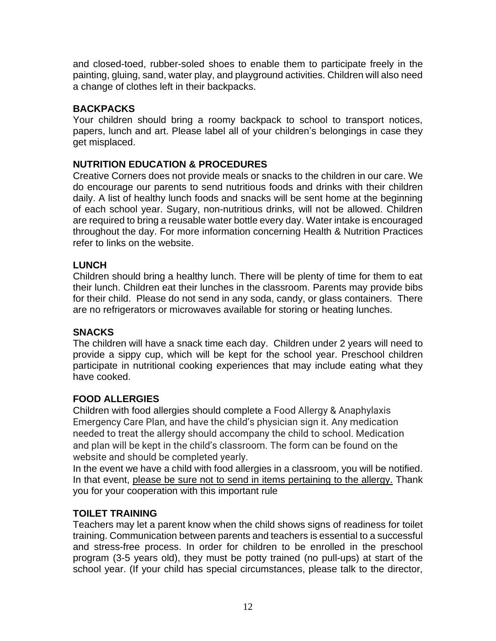and closed-toed, rubber-soled shoes to enable them to participate freely in the painting, gluing, sand, water play, and playground activities. Children will also need a change of clothes left in their backpacks.

## **BACKPACKS**

Your children should bring a roomy backpack to school to transport notices, papers, lunch and art. Please label all of your children's belongings in case they get misplaced.

## **NUTRITION EDUCATION & PROCEDURES**

Creative Corners does not provide meals or snacks to the children in our care. We do encourage our parents to send nutritious foods and drinks with their children daily. A list of healthy lunch foods and snacks will be sent home at the beginning of each school year. Sugary, non-nutritious drinks, will not be allowed. Children are required to bring a reusable water bottle every day. Water intake is encouraged throughout the day. For more information concerning Health & Nutrition Practices refer to links on the website.

#### **LUNCH**

Children should bring a healthy lunch. There will be plenty of time for them to eat their lunch. Children eat their lunches in the classroom. Parents may provide bibs for their child. Please do not send in any soda, candy, or glass containers. There are no refrigerators or microwaves available for storing or heating lunches.

#### **SNACKS**

The children will have a snack time each day. Children under 2 years will need to provide a sippy cup, which will be kept for the school year. Preschool children participate in nutritional cooking experiences that may include eating what they have cooked.

#### **FOOD ALLERGIES**

Children with food allergies should complete a Food Allergy & Anaphylaxis Emergency Care Plan, and have the child's physician sign it. Any medication needed to treat the allergy should accompany the child to school. Medication and plan will be kept in the child's classroom. The form can be found on the website and should be completed yearly.

In the event we have a child with food allergies in a classroom, you will be notified. In that event, please be sure not to send in items pertaining to the allergy. Thank you for your cooperation with this important rule

#### **TOILET TRAINING**

Teachers may let a parent know when the child shows signs of readiness for toilet training. Communication between parents and teachers is essential to a successful and stress-free process. In order for children to be enrolled in the preschool program (3-5 years old), they must be potty trained (no pull-ups) at start of the school year. (If your child has special circumstances, please talk to the director,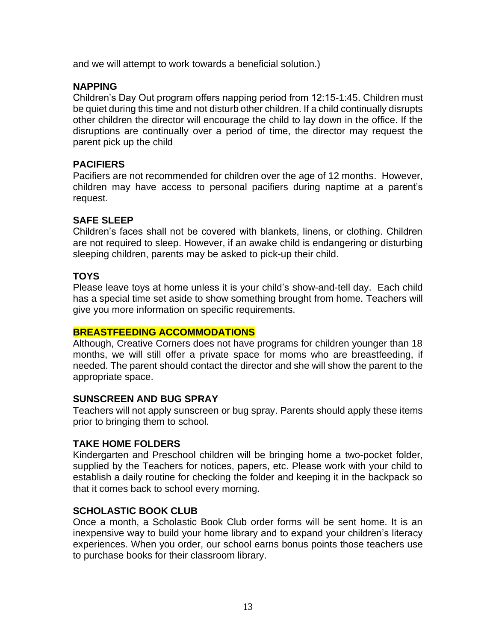and we will attempt to work towards a beneficial solution.)

#### **NAPPING**

Children's Day Out program offers napping period from 12:15-1:45. Children must be quiet during this time and not disturb other children. If a child continually disrupts other children the director will encourage the child to lay down in the office. If the disruptions are continually over a period of time, the director may request the parent pick up the child

#### **PACIFIERS**

Pacifiers are not recommended for children over the age of 12 months. However, children may have access to personal pacifiers during naptime at a parent's request.

#### **SAFE SLEEP**

Children's faces shall not be covered with blankets, linens, or clothing. Children are not required to sleep. However, if an awake child is endangering or disturbing sleeping children, parents may be asked to pick-up their child.

#### **TOYS**

Please leave toys at home unless it is your child's show-and-tell day. Each child has a special time set aside to show something brought from home. Teachers will give you more information on specific requirements.

#### **BREASTFEEDING ACCOMMODATIONS**

Although, Creative Corners does not have programs for children younger than 18 months, we will still offer a private space for moms who are breastfeeding, if needed. The parent should contact the director and she will show the parent to the appropriate space.

#### **SUNSCREEN AND BUG SPRAY**

Teachers will not apply sunscreen or bug spray. Parents should apply these items prior to bringing them to school.

#### **TAKE HOME FOLDERS**

Kindergarten and Preschool children will be bringing home a two-pocket folder, supplied by the Teachers for notices, papers, etc. Please work with your child to establish a daily routine for checking the folder and keeping it in the backpack so that it comes back to school every morning.

#### **SCHOLASTIC BOOK CLUB**

Once a month, a Scholastic Book Club order forms will be sent home. It is an inexpensive way to build your home library and to expand your children's literacy experiences. When you order, our school earns bonus points those teachers use to purchase books for their classroom library.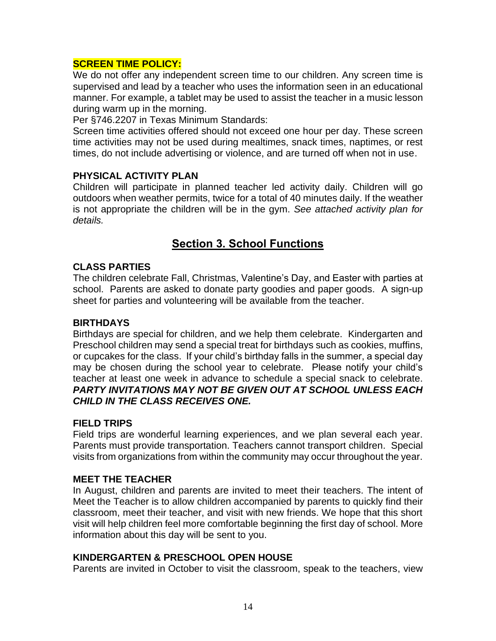#### **SCREEN TIME POLICY:**

We do not offer any independent screen time to our children. Any screen time is supervised and lead by a teacher who uses the information seen in an educational manner. For example, a tablet may be used to assist the teacher in a music lesson during warm up in the morning.

Per §746.2207 in Texas Minimum Standards:

Screen time activities offered should not exceed one hour per day. These screen time activities may not be used during mealtimes, snack times, naptimes, or rest times, do not include advertising or violence, and are turned off when not in use.

#### **PHYSICAL ACTIVITY PLAN**

Children will participate in planned teacher led activity daily. Children will go outdoors when weather permits, twice for a total of 40 minutes daily. If the weather is not appropriate the children will be in the gym. *See attached activity plan for details.* 

## **Section 3. School Functions**

#### **CLASS PARTIES**

The children celebrate Fall, Christmas, Valentine's Day, and Easter with parties at school. Parents are asked to donate party goodies and paper goods. A sign-up sheet for parties and volunteering will be available from the teacher.

#### **BIRTHDAYS**

Birthdays are special for children, and we help them celebrate. Kindergarten and Preschool children may send a special treat for birthdays such as cookies, muffins, or cupcakes for the class. If your child's birthday falls in the summer, a special day may be chosen during the school year to celebrate. Please notify your child's teacher at least one week in advance to schedule a special snack to celebrate. *PARTY INVITATIONS MAY NOT BE GIVEN OUT AT SCHOOL UNLESS EACH CHILD IN THE CLASS RECEIVES ONE.*

#### **FIELD TRIPS**

Field trips are wonderful learning experiences, and we plan several each year. Parents must provide transportation. Teachers cannot transport children. Special visits from organizations from within the community may occur throughout the year.

#### **MEET THE TEACHER**

In August, children and parents are invited to meet their teachers. The intent of Meet the Teacher is to allow children accompanied by parents to quickly find their classroom, meet their teacher, and visit with new friends. We hope that this short visit will help children feel more comfortable beginning the first day of school. More information about this day will be sent to you.

#### **KINDERGARTEN & PRESCHOOL OPEN HOUSE**

Parents are invited in October to visit the classroom, speak to the teachers, view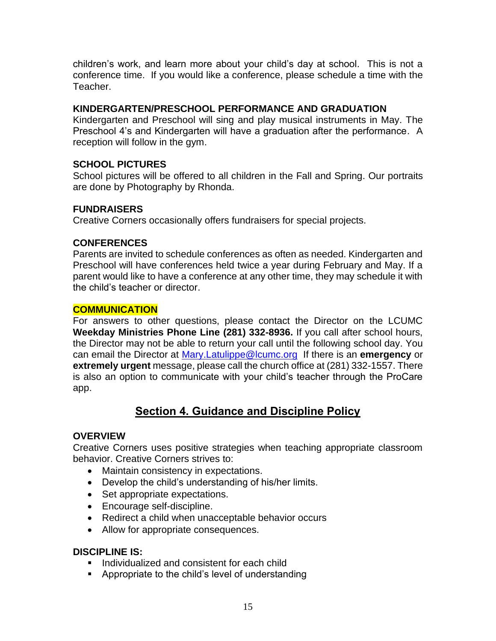children's work, and learn more about your child's day at school. This is not a conference time. If you would like a conference, please schedule a time with the Teacher.

#### **KINDERGARTEN/PRESCHOOL PERFORMANCE AND GRADUATION**

Kindergarten and Preschool will sing and play musical instruments in May. The Preschool 4's and Kindergarten will have a graduation after the performance. A reception will follow in the gym.

#### **SCHOOL PICTURES**

School pictures will be offered to all children in the Fall and Spring. Our portraits are done by Photography by Rhonda.

#### **FUNDRAISERS**

Creative Corners occasionally offers fundraisers for special projects.

#### **CONFERENCES**

Parents are invited to schedule conferences as often as needed. Kindergarten and Preschool will have conferences held twice a year during February and May. If a parent would like to have a conference at any other time, they may schedule it with the child's teacher or director.

#### **COMMUNICATION**

For answers to other questions, please contact the Director on the LCUMC **Weekday Ministries Phone Line (281) 332-8936.** If you call after school hours, the Director may not be able to return your call until the following school day. You can email the Director at [Mary.Latulippe@lcumc.org](mailto:Mary.Latulippe@lcumc.org) If there is an **emergency** or **extremely urgent** message, please call the church office at (281) 332-1557. There is also an option to communicate with your child's teacher through the ProCare app.

## **Section 4. Guidance and Discipline Policy**

#### **OVERVIEW**

Creative Corners uses positive strategies when teaching appropriate classroom behavior. Creative Corners strives to:

- Maintain consistency in expectations.
- Develop the child's understanding of his/her limits.
- Set appropriate expectations.
- Encourage self-discipline.
- Redirect a child when unacceptable behavior occurs
- Allow for appropriate consequences.

#### **DISCIPLINE IS:**

- Individualized and consistent for each child
- Appropriate to the child's level of understanding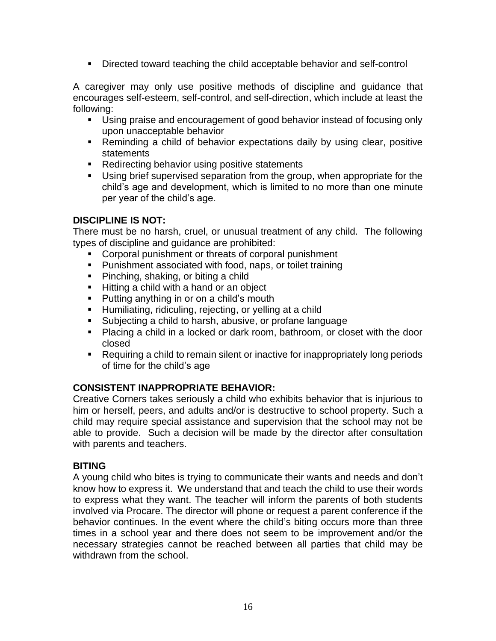▪ Directed toward teaching the child acceptable behavior and self-control

A caregiver may only use positive methods of discipline and guidance that encourages self-esteem, self-control, and self-direction, which include at least the following:

- Using praise and encouragement of good behavior instead of focusing only upon unacceptable behavior
- Reminding a child of behavior expectations daily by using clear, positive statements
- Redirecting behavior using positive statements
- Using brief supervised separation from the group, when appropriate for the child's age and development, which is limited to no more than one minute per year of the child's age.

#### **DISCIPLINE IS NOT:**

There must be no harsh, cruel, or unusual treatment of any child. The following types of discipline and guidance are prohibited:

- Corporal punishment or threats of corporal punishment
- Punishment associated with food, naps, or toilet training
- Pinching, shaking, or biting a child
- Hitting a child with a hand or an object
- Putting anything in or on a child's mouth
- **E** Humiliating, ridiculing, rejecting, or yelling at a child
- Subjecting a child to harsh, abusive, or profane language
- Placing a child in a locked or dark room, bathroom, or closet with the door closed
- Requiring a child to remain silent or inactive for inappropriately long periods of time for the child's age

#### **CONSISTENT INAPPROPRIATE BEHAVIOR:**

Creative Corners takes seriously a child who exhibits behavior that is injurious to him or herself, peers, and adults and/or is destructive to school property. Such a child may require special assistance and supervision that the school may not be able to provide. Such a decision will be made by the director after consultation with parents and teachers.

#### **BITING**

A young child who bites is trying to communicate their wants and needs and don't know how to express it. We understand that and teach the child to use their words to express what they want. The teacher will inform the parents of both students involved via Procare. The director will phone or request a parent conference if the behavior continues. In the event where the child's biting occurs more than three times in a school year and there does not seem to be improvement and/or the necessary strategies cannot be reached between all parties that child may be withdrawn from the school.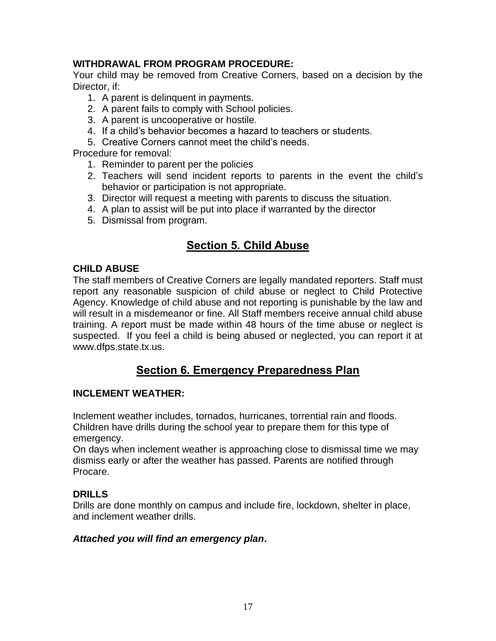#### **WITHDRAWAL FROM PROGRAM PROCEDURE:**

Your child may be removed from Creative Corners, based on a decision by the Director, if:

- 1. A parent is delinquent in payments.
- 2. A parent fails to comply with School policies.
- 3. A parent is uncooperative or hostile.
- 4. If a child's behavior becomes a hazard to teachers or students.
- 5. Creative Corners cannot meet the child's needs.

Procedure for removal:

- 1. Reminder to parent per the policies
- 2. Teachers will send incident reports to parents in the event the child's behavior or participation is not appropriate.
- 3. Director will request a meeting with parents to discuss the situation.
- 4. A plan to assist will be put into place if warranted by the director
- 5. Dismissal from program.

## **Section 5. Child Abuse**

#### **CHILD ABUSE**

The staff members of Creative Corners are legally mandated reporters. Staff must report any reasonable suspicion of child abuse or neglect to Child Protective Agency. Knowledge of child abuse and not reporting is punishable by the law and will result in a misdemeanor or fine. All Staff members receive annual child abuse training. A report must be made within 48 hours of the time abuse or neglect is suspected. If you feel a child is being abused or neglected, you can report it at www.dfps.state.tx.us.

## **Section 6. Emergency Preparedness Plan**

#### **INCLEMENT WEATHER:**

Inclement weather includes, tornados, hurricanes, torrential rain and floods. Children have drills during the school year to prepare them for this type of emergency.

On days when inclement weather is approaching close to dismissal time we may dismiss early or after the weather has passed. Parents are notified through Procare.

#### **DRILLS**

Drills are done monthly on campus and include fire, lockdown, shelter in place, and inclement weather drills.

#### *Attached you will find an emergency plan***.**